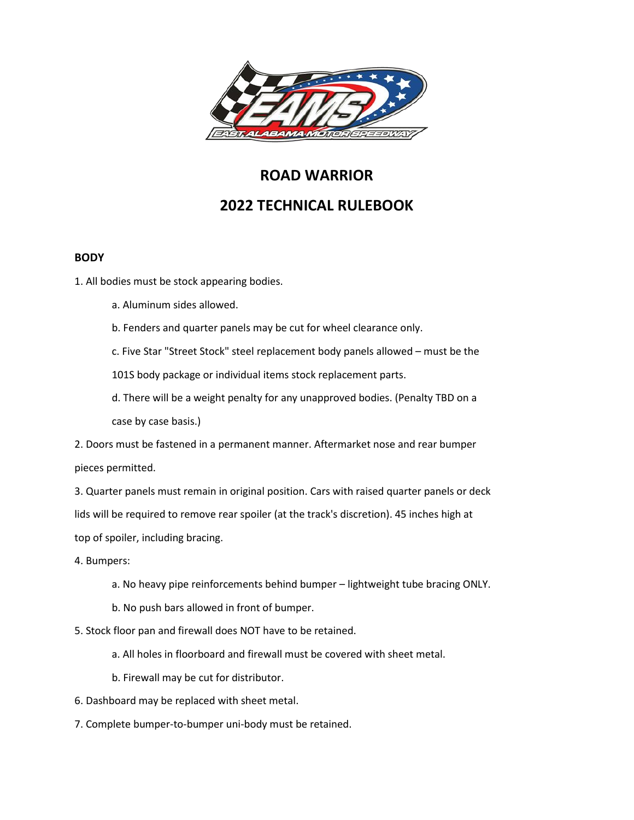

# **ROAD WARRIOR 2022 TECHNICAL RULEBOOK**

## **BODY**

1. All bodies must be stock appearing bodies.

- a. Aluminum sides allowed.
- b. Fenders and quarter panels may be cut for wheel clearance only.
- c. Five Star "Street Stock" steel replacement body panels allowed must be the

101S body package or individual items stock replacement parts.

d. There will be a weight penalty for any unapproved bodies. (Penalty TBD on a case by case basis.)

2. Doors must be fastened in a permanent manner. Aftermarket nose and rear bumper pieces permitted.

3. Quarter panels must remain in original position. Cars with raised quarter panels or deck lids will be required to remove rear spoiler (at the track's discretion). 45 inches high at top of spoiler, including bracing.

4. Bumpers:

- a. No heavy pipe reinforcements behind bumper lightweight tube bracing ONLY.
- b. No push bars allowed in front of bumper.

5. Stock floor pan and firewall does NOT have to be retained.

- a. All holes in floorboard and firewall must be covered with sheet metal.
- b. Firewall may be cut for distributor.
- 6. Dashboard may be replaced with sheet metal.
- 7. Complete bumper-to-bumper uni-body must be retained.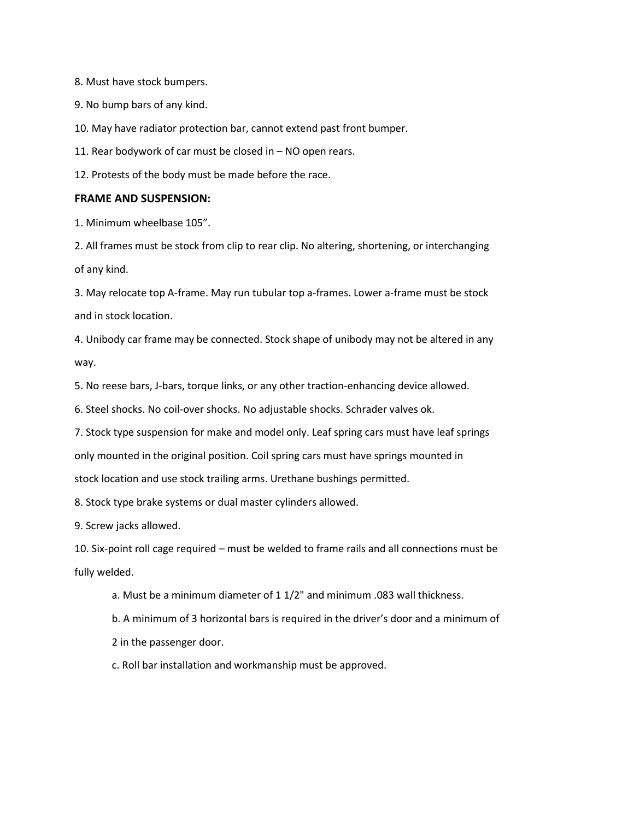8. Must have stock bumpers.

9. No bump bars of any kind.

10. May have radiator protection bar, cannot extend past front bumper.

11. Rear bodywork of car must be closed in – NO open rears.

12. Protests of the body must be made before the race.

#### **FRAME AND SUSPENSION:**

1. Minimum wheelbase 105".

2. All frames must be stock from clip to rear clip. No altering, shortening, or interchanging of any kind.

3. May relocate top A-frame. May run tubular top a-frames. Lower a-frame must be stock and in stock location.

4. Unibody car frame may be connected. Stock shape of unibody may not be altered in any way.

5. No reese bars, J-bars, torque links, or any other traction-enhancing device allowed.

6. Steel shocks. No coil-over shocks. No adjustable shocks. Schrader valves ok.

7. Stock type suspension for make and model only. Leaf spring cars must have leaf springs

only mounted in the original position. Coil spring cars must have springs mounted in

stock location and use stock trailing arms. Urethane bushings permitted.

8. Stock type brake systems or dual master cylinders allowed.

9. Screw jacks allowed.

10. Six-point roll cage required – must be welded to frame rails and all connections must be fully welded.

a. Must be a minimum diameter of 1 1/2" and minimum .083 wall thickness.

b. A minimum of 3 horizontal bars is required in the driver's door and a minimum of 2 in the passenger door.

c. Roll bar installation and workmanship must be approved.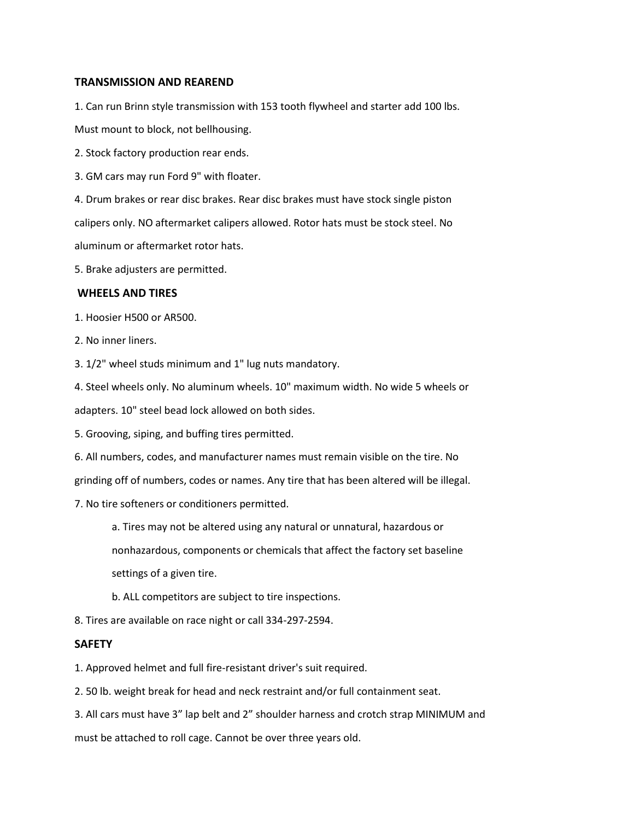#### **TRANSMISSION AND REAREND**

1. Can run Brinn style transmission with 153 tooth flywheel and starter add 100 lbs.

Must mount to block, not bellhousing.

2. Stock factory production rear ends.

3. GM cars may run Ford 9" with floater.

4. Drum brakes or rear disc brakes. Rear disc brakes must have stock single piston

calipers only. NO aftermarket calipers allowed. Rotor hats must be stock steel. No

aluminum or aftermarket rotor hats.

5. Brake adjusters are permitted.

## **WHEELS AND TIRES**

1. Hoosier H500 or AR500.

2. No inner liners.

3. 1/2" wheel studs minimum and 1" lug nuts mandatory.

4. Steel wheels only. No aluminum wheels. 10" maximum width. No wide 5 wheels or

adapters. 10" steel bead lock allowed on both sides.

5. Grooving, siping, and buffing tires permitted.

6. All numbers, codes, and manufacturer names must remain visible on the tire. No

grinding off of numbers, codes or names. Any tire that has been altered will be illegal.

7. No tire softeners or conditioners permitted.

a. Tires may not be altered using any natural or unnatural, hazardous or nonhazardous, components or chemicals that affect the factory set baseline settings of a given tire.

b. ALL competitors are subject to tire inspections.

8. Tires are available on race night or call 334-297-2594.

#### **SAFETY**

1. Approved helmet and full fire-resistant driver's suit required.

2. 50 lb. weight break for head and neck restraint and/or full containment seat.

3. All cars must have 3" lap belt and 2" shoulder harness and crotch strap MINIMUM and

must be attached to roll cage. Cannot be over three years old.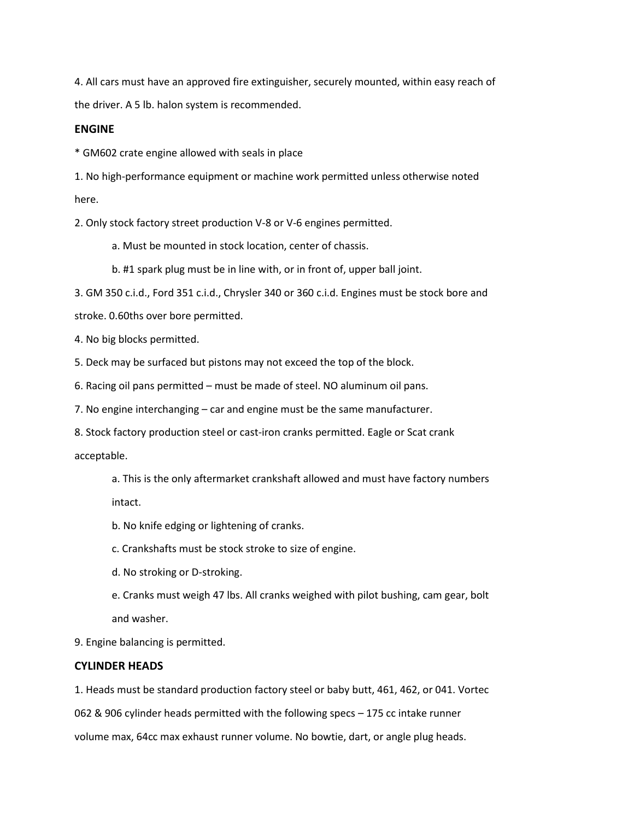4. All cars must have an approved fire extinguisher, securely mounted, within easy reach of the driver. A 5 lb. halon system is recommended.

## **ENGINE**

\* GM602 crate engine allowed with seals in place

1. No high-performance equipment or machine work permitted unless otherwise noted here.

2. Only stock factory street production V-8 or V-6 engines permitted.

a. Must be mounted in stock location, center of chassis.

b. #1 spark plug must be in line with, or in front of, upper ball joint.

3. GM 350 c.i.d., Ford 351 c.i.d., Chrysler 340 or 360 c.i.d. Engines must be stock bore and

stroke. 0.60ths over bore permitted.

4. No big blocks permitted.

5. Deck may be surfaced but pistons may not exceed the top of the block.

6. Racing oil pans permitted – must be made of steel. NO aluminum oil pans.

7. No engine interchanging – car and engine must be the same manufacturer.

8. Stock factory production steel or cast-iron cranks permitted. Eagle or Scat crank

acceptable.

a. This is the only aftermarket crankshaft allowed and must have factory numbers intact.

b. No knife edging or lightening of cranks.

c. Crankshafts must be stock stroke to size of engine.

- d. No stroking or D-stroking.
- e. Cranks must weigh 47 lbs. All cranks weighed with pilot bushing, cam gear, bolt and washer.

9. Engine balancing is permitted.

# **CYLINDER HEADS**

1. Heads must be standard production factory steel or baby butt, 461, 462, or 041. Vortec

062 & 906 cylinder heads permitted with the following specs – 175 cc intake runner

volume max, 64cc max exhaust runner volume. No bowtie, dart, or angle plug heads.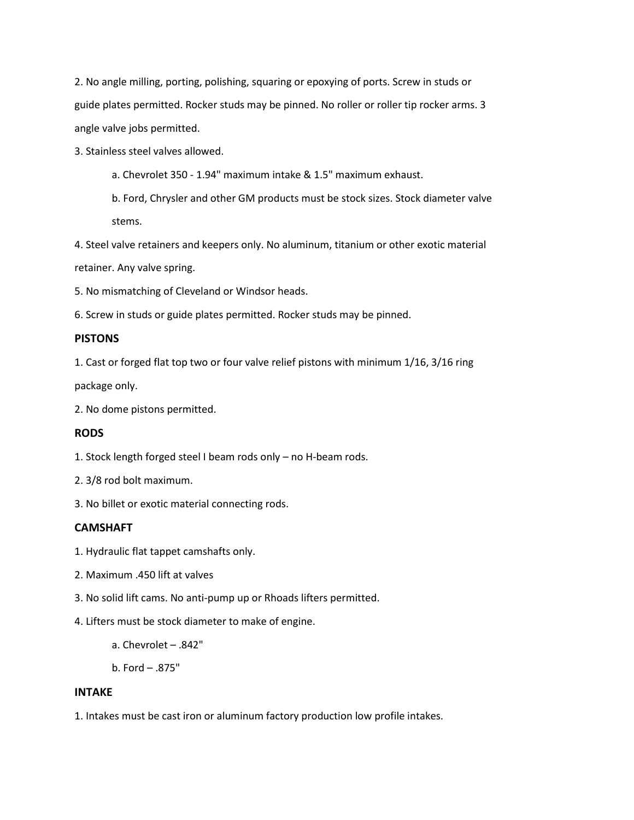2. No angle milling, porting, polishing, squaring or epoxying of ports. Screw in studs or guide plates permitted. Rocker studs may be pinned. No roller or roller tip rocker arms. 3 angle valve jobs permitted.

3. Stainless steel valves allowed.

a. Chevrolet 350 - 1.94" maximum intake & 1.5" maximum exhaust.

b. Ford, Chrysler and other GM products must be stock sizes. Stock diameter valve stems.

4. Steel valve retainers and keepers only. No aluminum, titanium or other exotic material retainer. Any valve spring.

5. No mismatching of Cleveland or Windsor heads.

6. Screw in studs or guide plates permitted. Rocker studs may be pinned.

## **PISTONS**

1. Cast or forged flat top two or four valve relief pistons with minimum 1/16, 3/16 ring

package only.

2. No dome pistons permitted.

## **RODS**

1. Stock length forged steel I beam rods only – no H-beam rods.

2. 3/8 rod bolt maximum.

3. No billet or exotic material connecting rods.

## **CAMSHAFT**

- 1. Hydraulic flat tappet camshafts only.
- 2. Maximum .450 lift at valves
- 3. No solid lift cams. No anti-pump up or Rhoads lifters permitted.
- 4. Lifters must be stock diameter to make of engine.

a. Chevrolet – .842"

b. Ford – .875"

#### **INTAKE**

1. Intakes must be cast iron or aluminum factory production low profile intakes.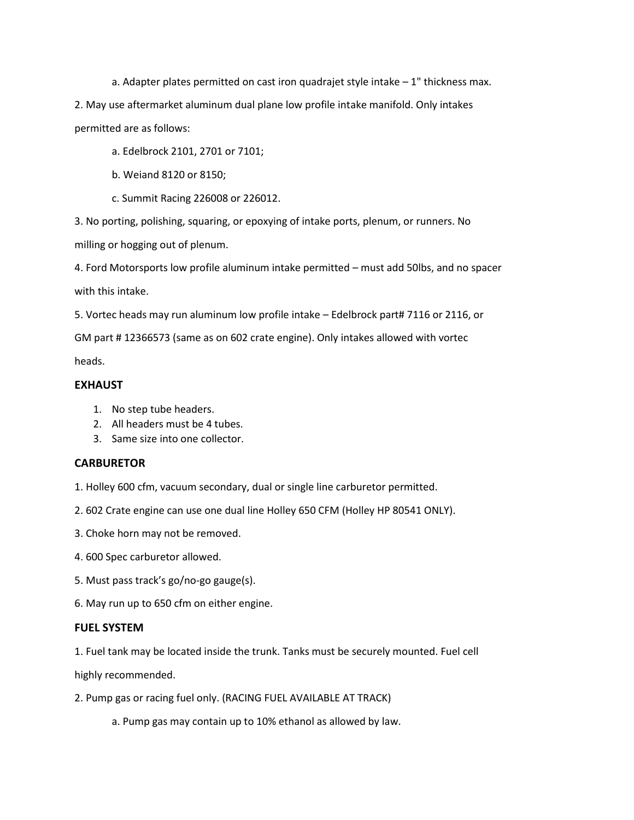a. Adapter plates permitted on cast iron quadrajet style intake – 1" thickness max.

2. May use aftermarket aluminum dual plane low profile intake manifold. Only intakes permitted are as follows:

- a. Edelbrock 2101, 2701 or 7101;
- b. Weiand 8120 or 8150;
- c. Summit Racing 226008 or 226012.

3. No porting, polishing, squaring, or epoxying of intake ports, plenum, or runners. No

milling or hogging out of plenum.

4. Ford Motorsports low profile aluminum intake permitted – must add 50lbs, and no spacer with this intake.

5. Vortec heads may run aluminum low profile intake – Edelbrock part# 7116 or 2116, or

GM part # 12366573 (same as on 602 crate engine). Only intakes allowed with vortec

heads.

# **EXHAUST**

- 1. No step tube headers.
- 2. All headers must be 4 tubes.
- 3. Same size into one collector.

## **CARBURETOR**

1. Holley 600 cfm, vacuum secondary, dual or single line carburetor permitted.

2. 602 Crate engine can use one dual line Holley 650 CFM (Holley HP 80541 ONLY).

- 3. Choke horn may not be removed.
- 4. 600 Spec carburetor allowed.
- 5. Must pass track's go/no-go gauge(s).
- 6. May run up to 650 cfm on either engine.

#### **FUEL SYSTEM**

1. Fuel tank may be located inside the trunk. Tanks must be securely mounted. Fuel cell

highly recommended.

2. Pump gas or racing fuel only. (RACING FUEL AVAILABLE AT TRACK)

a. Pump gas may contain up to 10% ethanol as allowed by law.